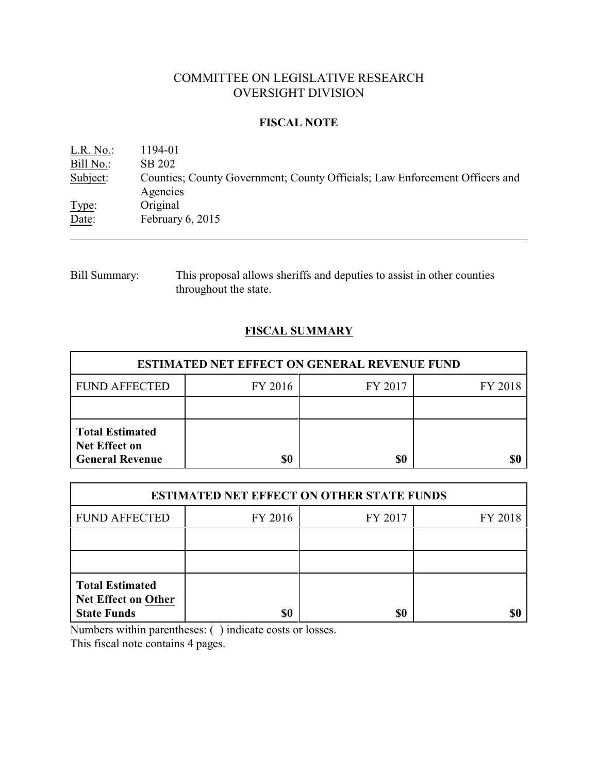# COMMITTEE ON LEGISLATIVE RESEARCH OVERSIGHT DIVISION

### **FISCAL NOTE**

| L.R. No.  | 1194-01                                                                     |
|-----------|-----------------------------------------------------------------------------|
| Bill No.: | SB 202                                                                      |
| Subject:  | Counties; County Government; County Officials; Law Enforcement Officers and |
|           | Agencies                                                                    |
| Type:     | Original                                                                    |
| Date:     | February $6, 2015$                                                          |
|           |                                                                             |

Bill Summary: This proposal allows sheriffs and deputies to assist in other counties throughout the state.

# **FISCAL SUMMARY**

| <b>ESTIMATED NET EFFECT ON GENERAL REVENUE FUND</b>                      |         |         |         |  |
|--------------------------------------------------------------------------|---------|---------|---------|--|
| <b>FUND AFFECTED</b>                                                     | FY 2016 | FY 2017 | FY 2018 |  |
|                                                                          |         |         |         |  |
| <b>Total Estimated</b><br><b>Net Effect on</b><br><b>General Revenue</b> | \$0     | \$0     |         |  |

| <b>ESTIMATED NET EFFECT ON OTHER STATE FUNDS</b>                           |         |         |         |  |
|----------------------------------------------------------------------------|---------|---------|---------|--|
| <b>FUND AFFECTED</b>                                                       | FY 2016 | FY 2017 | FY 2018 |  |
|                                                                            |         |         |         |  |
|                                                                            |         |         |         |  |
| <b>Total Estimated</b><br><b>Net Effect on Other</b><br><b>State Funds</b> | \$0     | \$0     |         |  |

Numbers within parentheses: ( ) indicate costs or losses.

This fiscal note contains 4 pages.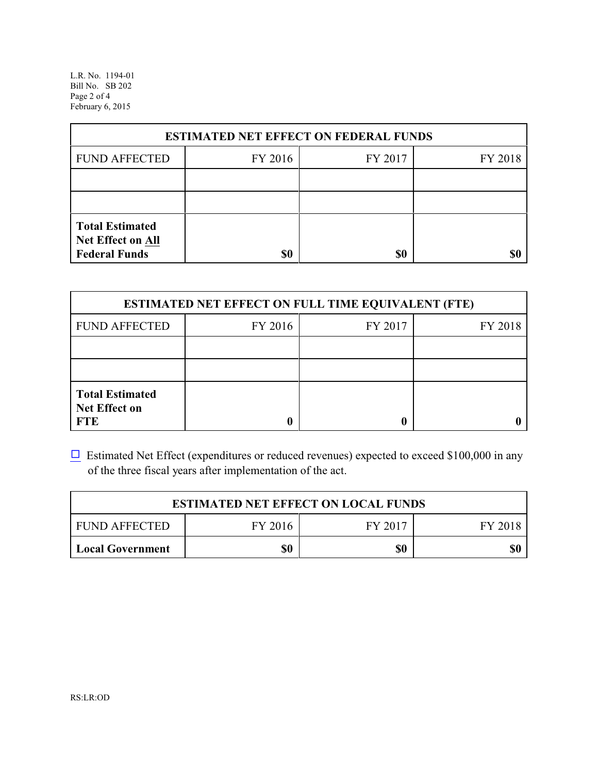L.R. No. 1194-01 Bill No. SB 202 Page 2 of 4 February 6, 2015

| <b>ESTIMATED NET EFFECT ON FEDERAL FUNDS</b>                        |         |         |         |  |
|---------------------------------------------------------------------|---------|---------|---------|--|
| <b>FUND AFFECTED</b>                                                | FY 2016 | FY 2017 | FY 2018 |  |
|                                                                     |         |         |         |  |
|                                                                     |         |         |         |  |
| <b>Total Estimated</b><br>Net Effect on All<br><b>Federal Funds</b> | \$0     | \$0     |         |  |

| <b>ESTIMATED NET EFFECT ON FULL TIME EQUIVALENT (FTE)</b>    |         |         |         |  |
|--------------------------------------------------------------|---------|---------|---------|--|
| <b>FUND AFFECTED</b>                                         | FY 2016 | FY 2017 | FY 2018 |  |
|                                                              |         |         |         |  |
|                                                              |         |         |         |  |
| <b>Total Estimated</b><br><b>Net Effect on</b><br><b>FTE</b> |         |         |         |  |

 $\Box$  Estimated Net Effect (expenditures or reduced revenues) expected to exceed \$100,000 in any of the three fiscal years after implementation of the act.

| <b>ESTIMATED NET EFFECT ON LOCAL FUNDS</b> |         |         |         |  |
|--------------------------------------------|---------|---------|---------|--|
| <b>FUND AFFECTED</b>                       | FY 2016 | FY 2017 | FY 2018 |  |
| <b>Local Government</b>                    | \$0     | \$0     | \$0     |  |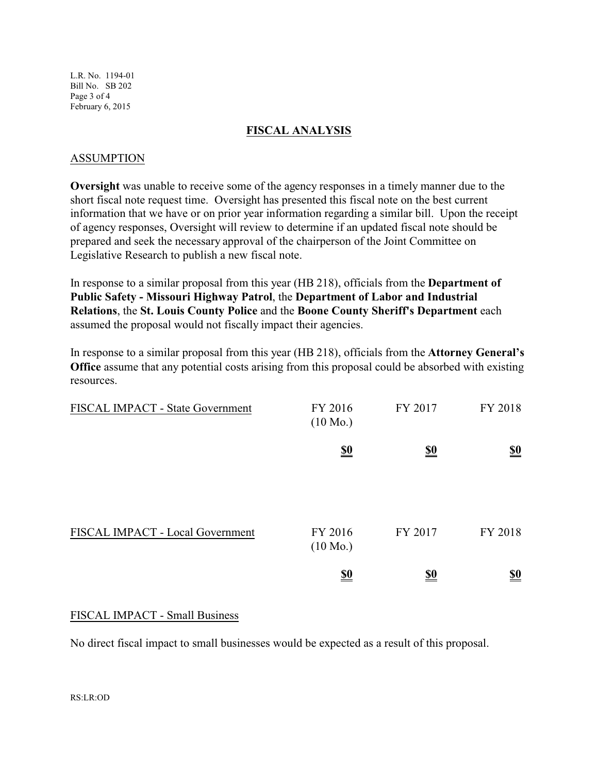L.R. No. 1194-01 Bill No. SB 202 Page 3 of 4 February 6, 2015

#### **FISCAL ANALYSIS**

#### ASSUMPTION

**Oversight** was unable to receive some of the agency responses in a timely manner due to the short fiscal note request time. Oversight has presented this fiscal note on the best current information that we have or on prior year information regarding a similar bill. Upon the receipt of agency responses, Oversight will review to determine if an updated fiscal note should be prepared and seek the necessary approval of the chairperson of the Joint Committee on Legislative Research to publish a new fiscal note.

In response to a similar proposal from this year (HB 218), officials from the **Department of Public Safety - Missouri Highway Patrol**, the **Department of Labor and Industrial Relations**, the **St. Louis County Police** and the **Boone County Sheriff's Department** each assumed the proposal would not fiscally impact their agencies.

In response to a similar proposal from this year (HB 218), officials from the **Attorney General's Office** assume that any potential costs arising from this proposal could be absorbed with existing resources.

| FISCAL IMPACT - State Government | FY 2016<br>$(10 \text{ Mo.})$ | FY 2017    | FY 2018                       |
|----------------------------------|-------------------------------|------------|-------------------------------|
|                                  | $\underline{\underline{\$0}}$ | <u>\$0</u> | $\underline{\underline{\$0}}$ |
| FISCAL IMPACT - Local Government | FY 2016<br>$(10 \text{ Mo.})$ | FY 2017    | FY 2018                       |
|                                  | <u>\$0</u>                    | <u>\$0</u> | <u>\$0</u>                    |

## FISCAL IMPACT - Small Business

No direct fiscal impact to small businesses would be expected as a result of this proposal.